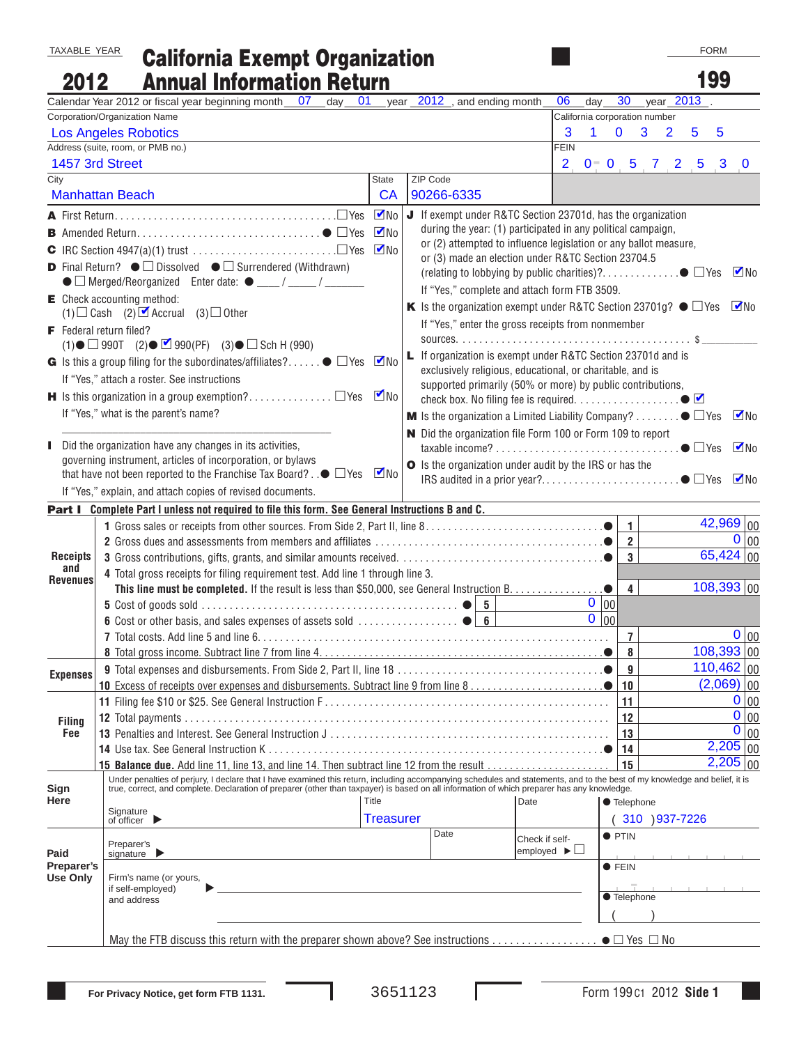TAXABLE YEAR

## California Exempt Organization Annual Information Return

| 2012                   | <b>Annual Information Return</b>                                                                                                                                                                                                                                                                                          |                                                   |                                              |   |                                                                                                  |                               |                |                |                | 199          |                     |                     |
|------------------------|---------------------------------------------------------------------------------------------------------------------------------------------------------------------------------------------------------------------------------------------------------------------------------------------------------------------------|---------------------------------------------------|----------------------------------------------|---|--------------------------------------------------------------------------------------------------|-------------------------------|----------------|----------------|----------------|--------------|---------------------|---------------------|
|                        | Calendar Year 2012 or fiscal year beginning month __ 07<br>01<br>day                                                                                                                                                                                                                                                      | vear                                              | $2012$ , and ending month                    |   | 06                                                                                               | day                           | 30             |                | year 2013      |              |                     |                     |
|                        | Corporation/Organization Name                                                                                                                                                                                                                                                                                             |                                                   |                                              |   |                                                                                                  | California corporation number |                |                |                |              |                     |                     |
|                        | <b>Los Angeles Robotics</b>                                                                                                                                                                                                                                                                                               |                                                   |                                              |   | 3                                                                                                | 1                             | $\mathbf 0$    | 3              | $\overline{2}$ | 5            | 5                   |                     |
|                        | Address (suite, room, or PMB no.)                                                                                                                                                                                                                                                                                         |                                                   |                                              |   | <b>FEIN</b>                                                                                      |                               |                |                |                |              |                     |                     |
| 1457 3rd Street        |                                                                                                                                                                                                                                                                                                                           |                                                   |                                              |   | 2 <sub>1</sub>                                                                                   | $0^-$ 0 5 7 2 5 3             |                |                |                |              |                     | $\bf{0}$            |
| City                   |                                                                                                                                                                                                                                                                                                                           | State                                             | ZIP Code                                     |   |                                                                                                  |                               |                |                |                |              |                     |                     |
|                        | <b>Manhattan Beach</b>                                                                                                                                                                                                                                                                                                    | CA                                                | 90266-6335                                   |   |                                                                                                  |                               |                |                |                |              |                     |                     |
|                        |                                                                                                                                                                                                                                                                                                                           | $\nabla$ No                                       |                                              |   | <b>J</b> If exempt under R&TC Section 23701d, has the organization                               |                               |                |                |                |              |                     |                     |
|                        |                                                                                                                                                                                                                                                                                                                           | $\nabla$ No                                       |                                              |   | during the year: (1) participated in any political campaign,                                     |                               |                |                |                |              |                     |                     |
|                        |                                                                                                                                                                                                                                                                                                                           | $\nabla$ No                                       |                                              |   | or (2) attempted to influence legislation or any ballot measure,                                 |                               |                |                |                |              |                     |                     |
|                        | <b>D</b> Final Return? $\bullet$ $\square$ Dissolved $\bullet$ $\square$ Surrendered (Withdrawn)                                                                                                                                                                                                                          |                                                   |                                              |   | or (3) made an election under R&TC Section 23704.5                                               |                               |                |                |                |              |                     |                     |
|                        |                                                                                                                                                                                                                                                                                                                           |                                                   |                                              |   |                                                                                                  |                               |                |                |                |              |                     | $\blacksquare$ No   |
|                        | $\mathsf{E}$ Check accounting method:                                                                                                                                                                                                                                                                                     |                                                   | If "Yes," complete and attach form FTB 3509. |   |                                                                                                  |                               |                |                |                |              |                     |                     |
|                        | $(1)$ Cash $(2)$ <b>Z</b> Accrual $(3)$ Other                                                                                                                                                                                                                                                                             |                                                   |                                              |   | K Is the organization exempt under R&TC Section 23701g? $\bullet$ $\Box$ Yes Mo                  |                               |                |                |                |              |                     |                     |
|                        | F Federal return filed?                                                                                                                                                                                                                                                                                                   | If "Yes," enter the gross receipts from nonmember |                                              |   |                                                                                                  |                               |                |                |                |              |                     |                     |
|                        | $(1)$ $\bullet$ $\Box$ 990T $(2)$ $\bullet$ $\Box$ 990(PF) $(3)$ $\bullet$ $\Box$ Sch H (990)                                                                                                                                                                                                                             |                                                   |                                              |   |                                                                                                  |                               |                |                |                |              |                     |                     |
|                        | G Is this a group filing for the subordinates/affiliates? $\bullet$ $\square$ Yes $\blacksquare$ No                                                                                                                                                                                                                       |                                                   |                                              |   | L If organization is exempt under R&TC Section 23701d and is                                     |                               |                |                |                |              |                     |                     |
|                        |                                                                                                                                                                                                                                                                                                                           |                                                   |                                              |   | exclusively religious, educational, or charitable, and is                                        |                               |                |                |                |              |                     |                     |
|                        | If "Yes," attach a roster. See instructions                                                                                                                                                                                                                                                                               |                                                   |                                              |   | supported primarily (50% or more) by public contributions,                                       |                               |                |                |                |              |                     |                     |
|                        | check box. No filing fee is required. $\dots\dots\dots\dots\dots\dots\longrightarrow$                                                                                                                                                                                                                                     |                                                   |                                              |   |                                                                                                  |                               |                |                |                |              |                     |                     |
|                        | If "Yes," what is the parent's name?                                                                                                                                                                                                                                                                                      |                                                   |                                              |   | <b>M</b> Is the organization a Limited Liability Company? $\bullet$ $\Box$ Yes $\blacksquare$ No |                               |                |                |                |              |                     |                     |
|                        |                                                                                                                                                                                                                                                                                                                           |                                                   |                                              |   | N Did the organization file Form 100 or Form 109 to report                                       |                               |                |                |                |              |                     |                     |
| н.                     | Did the organization have any changes in its activities,                                                                                                                                                                                                                                                                  |                                                   |                                              |   |                                                                                                  |                               |                |                |                |              |                     | $\nabla$ No         |
|                        | governing instrument, articles of incorporation, or bylaws                                                                                                                                                                                                                                                                | $\nabla$ No                                       |                                              |   | O Is the organization under audit by the IRS or has the                                          |                               |                |                |                |              |                     |                     |
|                        | that have not been reported to the Franchise Tax Board? $\Box$ $\Box$ Yes                                                                                                                                                                                                                                                 |                                                   |                                              |   |                                                                                                  |                               |                |                |                |              |                     | $\nabla$ No         |
|                        | If "Yes," explain, and attach copies of revised documents.                                                                                                                                                                                                                                                                |                                                   |                                              |   |                                                                                                  |                               |                |                |                |              |                     |                     |
|                        | Part I Complete Part I unless not required to file this form. See General Instructions B and C.                                                                                                                                                                                                                           |                                                   |                                              |   |                                                                                                  |                               |                |                |                |              |                     |                     |
|                        |                                                                                                                                                                                                                                                                                                                           |                                                   |                                              |   |                                                                                                  |                               | $\mathbf{1}$   |                |                |              | $\frac{42,969}{00}$ |                     |
|                        |                                                                                                                                                                                                                                                                                                                           |                                                   |                                              |   |                                                                                                  |                               | $\overline{2}$ |                |                |              |                     | 0 00                |
| <b>Receipts</b><br>and |                                                                                                                                                                                                                                                                                                                           |                                                   |                                              |   |                                                                                                  |                               | $\mathbf{3}$   |                |                |              | $65,424$ 00         |                     |
| <b>Revenues</b>        | 4 Total gross receipts for filing requirement test. Add line 1 through line 3.                                                                                                                                                                                                                                            |                                                   |                                              |   |                                                                                                  |                               |                |                |                |              |                     |                     |
|                        | This line must be completed. If the result is less than \$50,000, see General Instruction B.                                                                                                                                                                                                                              |                                                   |                                              |   |                                                                                                  |                               | $\overline{4}$ |                |                | $108,393$ 00 |                     |                     |
|                        |                                                                                                                                                                                                                                                                                                                           |                                                   |                                              | 5 |                                                                                                  | 0 00                          |                |                |                |              |                     |                     |
|                        |                                                                                                                                                                                                                                                                                                                           |                                                   |                                              |   |                                                                                                  | $0$ $ 00 $                    |                |                |                |              |                     |                     |
|                        |                                                                                                                                                                                                                                                                                                                           |                                                   |                                              |   |                                                                                                  |                               | $\overline{7}$ |                |                |              |                     | 0 00                |
|                        |                                                                                                                                                                                                                                                                                                                           |                                                   |                                              |   |                                                                                                  |                               | 8              |                |                | $108,393$ 00 |                     |                     |
| <b>Expenses</b>        |                                                                                                                                                                                                                                                                                                                           |                                                   |                                              |   |                                                                                                  |                               | 9              |                |                | $110,462$ 00 |                     |                     |
|                        |                                                                                                                                                                                                                                                                                                                           |                                                   |                                              |   |                                                                                                  |                               | ∣ 10           |                |                |              | $(2,069)$ 00        |                     |
|                        |                                                                                                                                                                                                                                                                                                                           |                                                   |                                              |   |                                                                                                  |                               | 11             |                |                |              |                     | 0 00                |
| <b>Filing</b>          |                                                                                                                                                                                                                                                                                                                           |                                                   |                                              |   |                                                                                                  |                               | 12             |                |                |              |                     | 0 00                |
| Fee                    |                                                                                                                                                                                                                                                                                                                           |                                                   |                                              |   |                                                                                                  |                               | 13             |                |                |              |                     | $\overline{0}$   00 |
|                        |                                                                                                                                                                                                                                                                                                                           |                                                   |                                              |   |                                                                                                  |                               | 14             |                |                |              | $2,205$ 00          |                     |
|                        | 15 Balance due. Add line 11, line 13, and line 14. Then subtract line 12 from the result                                                                                                                                                                                                                                  |                                                   |                                              |   |                                                                                                  |                               | 15             |                |                |              | $2,205$ 00          |                     |
| Sign                   | Under penalties of perjury, I declare that I have examined this return, including accompanying schedules and statements, and to the best of my knowledge and belief, it is<br>true, correct, and complete. Declaration of preparer (other than taxpayer) is based on all information of which preparer has any knowledge. |                                                   |                                              |   |                                                                                                  |                               |                |                |                |              |                     |                     |
| Here                   |                                                                                                                                                                                                                                                                                                                           | Title                                             |                                              |   | Date                                                                                             |                               | ● Telephone    |                |                |              |                     |                     |
|                        | Signature<br>of officer $\blacktriangleright$                                                                                                                                                                                                                                                                             | <b>Treasurer</b>                                  |                                              |   |                                                                                                  |                               |                | 310 ) 937-7226 |                |              |                     |                     |
|                        |                                                                                                                                                                                                                                                                                                                           |                                                   | Date                                         |   |                                                                                                  |                               | $\bullet$ PTIN |                |                |              |                     |                     |
| Paid                   | Preparer's<br>signature $\blacktriangleright$                                                                                                                                                                                                                                                                             |                                                   |                                              |   | Check if self-<br>employed $\blacktriangleright \Box$                                            |                               |                |                |                |              |                     |                     |
| Preparer's             |                                                                                                                                                                                                                                                                                                                           |                                                   |                                              |   |                                                                                                  |                               | $\bullet$ FEIN |                |                |              |                     |                     |
| <b>Use Only</b>        | Firm's name (or yours,                                                                                                                                                                                                                                                                                                    |                                                   |                                              |   |                                                                                                  |                               |                |                |                |              |                     |                     |
|                        | if self-employed)<br>and address                                                                                                                                                                                                                                                                                          |                                                   |                                              |   |                                                                                                  |                               | ● Telephone    |                |                |              |                     |                     |
|                        |                                                                                                                                                                                                                                                                                                                           |                                                   |                                              |   |                                                                                                  |                               |                |                |                |              |                     |                     |
|                        |                                                                                                                                                                                                                                                                                                                           |                                                   |                                              |   |                                                                                                  |                               |                |                |                |              |                     |                     |
|                        | May the FTB discuss this return with the preparer shown above? See instructions $\bullet \square$ Yes $\square$ No                                                                                                                                                                                                        |                                                   |                                              |   |                                                                                                  |                               |                |                |                |              |                     |                     |